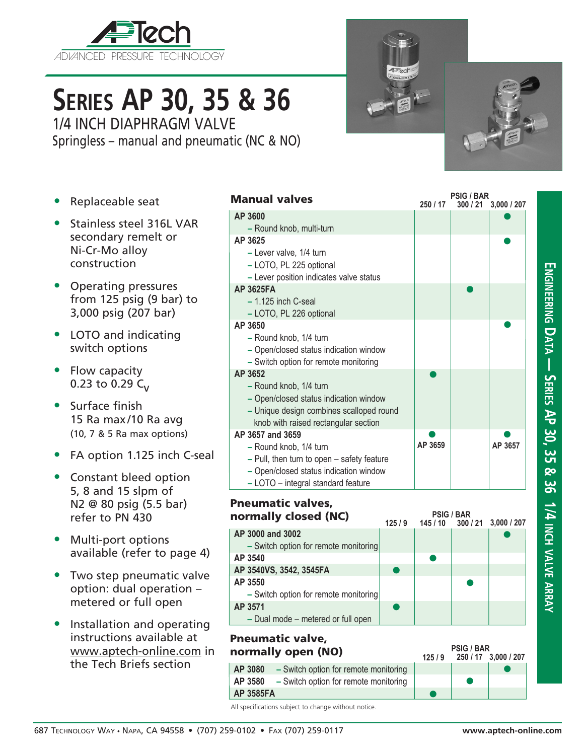

# **Series AP 30, 35 & 36** 1/4 INCH DIAPHRAGM VALVE

Springless – manual and pneumatic (NC & NO)

- Replaceable seat
- Stainless steel 316L VAR secondary remelt or Ni-Cr-Mo alloy construction
- Operating pressures from 125 psig (9 bar) to 3,000 psig (207 bar)
- LOTO and indicating switch options
- Flow capacity 0.23 to 0.29  $C_{V}$
- Surface finish 15 Ra max/10 Ra avg (10, 7 & 5 Ra max options)
- FA option 1.125 inch C-seal
- Constant bleed option 5, 8 and 15 slpm of N2 @ 80 psig (5.5 bar) refer to PN 430
- Multi-port options available (refer to page 4)
- Two step pneumatic valve option: dual operation – metered or full open
- Installation and operating instructions available at www.aptech-online.com in the Tech Briefs section

| <b>Manual valves</b>                       | 250 / 17 | <b>PSIG / BAR</b> | 300 / 21 3,000 / 207 |
|--------------------------------------------|----------|-------------------|----------------------|
| AP 3600                                    |          |                   |                      |
| - Round knob, multi-turn                   |          |                   |                      |
| AP 3625                                    |          |                   |                      |
| - Lever valve, 1/4 turn                    |          |                   |                      |
| - LOTO, PL 225 optional                    |          |                   |                      |
| - Lever position indicates valve status    |          |                   |                      |
| <b>AP 3625FA</b>                           |          |                   |                      |
| $-1.125$ inch C-seal                       |          |                   |                      |
| - LOTO, PL 226 optional                    |          |                   |                      |
| AP 3650                                    |          |                   |                      |
| - Round knob, 1/4 turn                     |          |                   |                      |
| - Open/closed status indication window     |          |                   |                      |
| - Switch option for remote monitoring      |          |                   |                      |
| AP 3652                                    |          |                   |                      |
| - Round knob, 1/4 turn                     |          |                   |                      |
| - Open/closed status indication window     |          |                   |                      |
| - Unique design combines scalloped round   |          |                   |                      |
| knob with raised rectangular section       |          |                   |                      |
| AP 3657 and 3659                           |          |                   |                      |
| - Round knob, 1/4 turn                     | AP 3659  |                   | AP 3657              |
| - Pull, then turn to open - safety feature |          |                   |                      |
| - Open/closed status indication window     |          |                   |                      |
| - LOTO - integral standard feature         |          |                   |                      |

## Pneumatic valves,

| normally closed (NC)                  |       | <b>PSIG / BAR</b> |                      |
|---------------------------------------|-------|-------------------|----------------------|
|                                       | 125/9 | 145/10            | 300 / 21 3,000 / 207 |
| AP 3000 and 3002                      |       |                   |                      |
| - Switch option for remote monitoring |       |                   |                      |
| AP 3540                               |       |                   |                      |
| AP 3540VS, 3542, 3545FA               |       |                   |                      |
| AP 3550                               |       |                   |                      |
| - Switch option for remote monitoring |       |                   |                      |
| AP 3571                               |       |                   |                      |
| - Dual mode - metered or full open    |       |                   |                      |

#### $\bullet$ **125 / 9** Pneumatic valve, normally open (NO) **AP 3080 –** Switch option for remote monitoring **AP 3580 –** Switch option for remote monitoring **AP 3585FA**

**250 / 17 3,000 / 207 PSIG / BAR**

 $\bullet$ 

All specifications subject to change without notice.

 $\bullet$ 

**Engineering D**

**a t**

**a — Series AP 30, 35 & 36 1/4 inch**

**v alve**

**arr a y**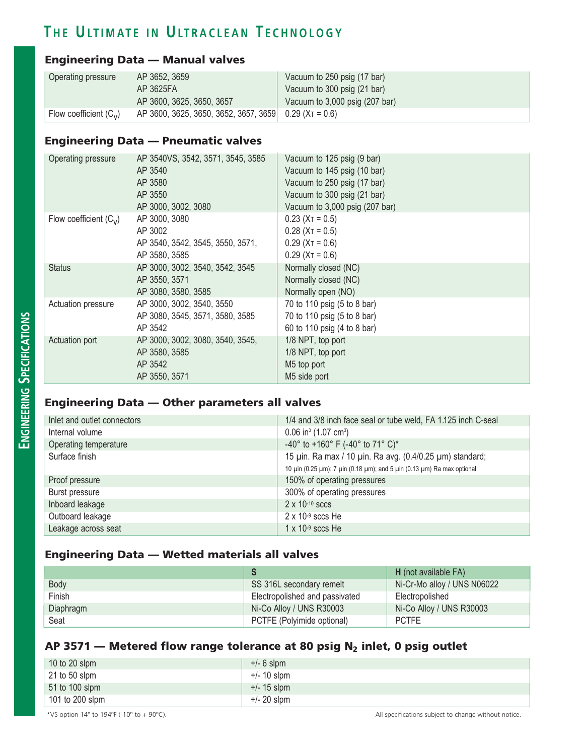### **T h e U lt i m at e i n U lt r a c l e a n T e c h n o l o g y**

#### Engineering Data — Manual valves

| Operating pressure       | AP 3652, 3659                                             | Vacuum to 250 psig (17 bar)    |
|--------------------------|-----------------------------------------------------------|--------------------------------|
|                          | AP 3625FA                                                 | Vacuum to 300 psig (21 bar)    |
|                          | AP 3600, 3625, 3650, 3657                                 | Vacuum to 3,000 psig (207 bar) |
| Flow coefficient $(C_v)$ | AP 3600, 3625, 3650, 3652, 3657, 3659 0.29 ( $XT = 0.6$ ) |                                |

#### Engineering Data — Pneumatic valves

| Operating pressure       | AP 3540VS, 3542, 3571, 3545, 3585<br>AP 3540<br>AP 3580<br>AP 3550<br>AP 3000, 3002, 3080 | Vacuum to 125 psig (9 bar)<br>Vacuum to 145 psig (10 bar)<br>Vacuum to 250 psig (17 bar)<br>Vacuum to 300 psig (21 bar)<br>Vacuum to 3,000 psig (207 bar) |
|--------------------------|-------------------------------------------------------------------------------------------|-----------------------------------------------------------------------------------------------------------------------------------------------------------|
| Flow coefficient $(C_v)$ | AP 3000, 3080<br>AP 3002<br>AP 3540, 3542, 3545, 3550, 3571,<br>AP 3580, 3585             | $0.23$ (X <sub>T</sub> = 0.5)<br>$0.28$ (X <sub>T</sub> = 0.5)<br>$0.29$ (X <sub>T</sub> = 0.6)<br>$0.29$ (X <sub>T</sub> = 0.6)                          |
| <b>Status</b>            | AP 3000, 3002, 3540, 3542, 3545<br>AP 3550, 3571<br>AP 3080, 3580, 3585                   | Normally closed (NC)<br>Normally closed (NC)<br>Normally open (NO)                                                                                        |
| Actuation pressure       | AP 3000, 3002, 3540, 3550<br>AP 3080, 3545, 3571, 3580, 3585<br>AP 3542                   | 70 to 110 psig (5 to 8 bar)<br>70 to 110 psig (5 to 8 bar)<br>60 to 110 psig (4 to 8 bar)                                                                 |
| Actuation port           | AP 3000, 3002, 3080, 3540, 3545,<br>AP 3580, 3585<br>AP 3542<br>AP 3550, 3571             | 1/8 NPT, top port<br>1/8 NPT, top port<br>M5 top port<br>M5 side port                                                                                     |

#### Engineering Data — Other parameters all valves

| Inlet and outlet connectors | 1/4 and 3/8 inch face seal or tube weld, FA 1.125 inch C-seal          |
|-----------------------------|------------------------------------------------------------------------|
| Internal volume             | $0.06$ in <sup>3</sup> (1.07 cm <sup>3</sup> )                         |
| Operating temperature       | -40° to +160° F (-40° to 71° C)*                                       |
| Surface finish              | 15 µin. Ra max / 10 µin. Ra avg. (0.4/0.25 µm) standard;               |
|                             | 10 μin (0.25 μm); 7 μin (0.18 μm); and 5 μin (0.13 μm) Ra max optional |
| Proof pressure              | 150% of operating pressures                                            |
| Burst pressure              | 300% of operating pressures                                            |
| Inboard leakage             | $2 \times 10^{-10}$ sccs                                               |
| Outboard leakage            | $2 \times 10^{-9}$ sccs He                                             |
| Leakage across seat         | $1 \times 10^{-9}$ sccs He                                             |

#### Engineering Data — Wetted materials all valves

|           |                                | H (not available FA)        |
|-----------|--------------------------------|-----------------------------|
| Body      | SS 316L secondary remelt       | Ni-Cr-Mo alloy / UNS N06022 |
| Finish    | Electropolished and passivated | Electropolished             |
| Diaphragm | Ni-Co Alloy / UNS R30003       | Ni-Co Alloy / UNS R30003    |
| Seat      | PCTFE (Polyimide optional)     | <b>PCTFE</b>                |

### AP 3571 – Metered flow range tolerance at 80 psig  $N_2$  inlet, 0 psig outlet

| 10 to 20 slpm    | $+/- 6$ slpm  |
|------------------|---------------|
| $21$ to 50 slpm  | $+/- 10$ slpm |
| $51$ to 100 slpm | $+/- 15$ slpm |
| 101 to 200 slpm  | $+/- 20$ slpm |

\*VS option 14º to 194ºF (-10º to + 90ºC). All specifications subject to change without notice.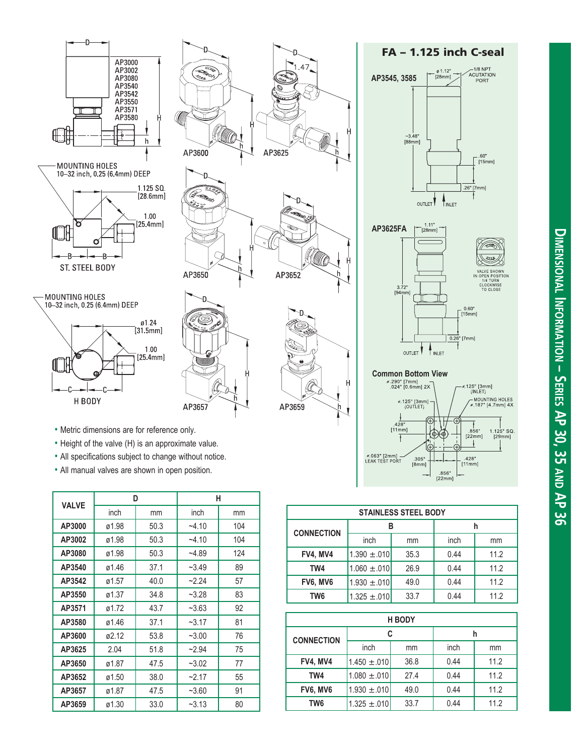







- Height of the valve (H) is an approximate value.
- All specifications subject to change without notice.
- All manual valves are shown in open position.

| <b>VALVE</b> | D     |      | н       |     |
|--------------|-------|------|---------|-----|
|              | inch  | mm   | inch    | mm  |
| AP3000       | ø1.98 | 50.3 | $-4.10$ | 104 |
| AP3002       | ø1.98 | 50.3 | $-4.10$ | 104 |
| AP3080       | ø1.98 | 50.3 | $-4.89$ | 124 |
| AP3540       | ø1.46 | 37.1 | $-3.49$ | 89  |
| AP3542       | ø1.57 | 40.0 | $-2.24$ | 57  |
| AP3550       | ø1.37 | 34.8 | $-3.28$ | 83  |
| AP3571       | ø1.72 | 43.7 | $-3.63$ | 92  |
| AP3580       | ø1.46 | 37.1 | $-3.17$ | 81  |
| AP3600       | ø2.12 | 53.8 | $-3.00$ | 76  |
| AP3625       | 2.04  | 51.8 | $-2.94$ | 75  |
| AP3650       | ø1.87 | 47.5 | $-3.02$ | 77  |
| AP3652       | ø1.50 | 38.0 | $-2.17$ | 55  |
| AP3657       | ø1.87 | 47.5 | $-3.60$ | 91  |
| AP3659       | ø1.30 | 33.0 | $-3.13$ | 80  |







| <b>STAINLESS STEEL BODY</b> |                  |      |      |      |  |
|-----------------------------|------------------|------|------|------|--|
|                             | в                |      | h    |      |  |
| <b>CONNECTION</b>           | inch             | mm   | inch | mm   |  |
| <b>FV4, MV4</b>             | $1.390 \pm .010$ | 35.3 | 0.44 | 11.2 |  |
| TW4                         | $1.060 \pm .010$ | 26.9 | 0.44 | 11.2 |  |
| FV6, MV6                    | $1.930 \pm .010$ | 49.0 | 0.44 | 11.2 |  |
| TW6                         | $1.325 \pm .010$ | 33.7 | 0.44 | 11.2 |  |

| <b>H BODY</b>     |                  |      |      |      |
|-------------------|------------------|------|------|------|
|                   | C                |      |      |      |
| <b>CONNECTION</b> | inch<br>mm       |      | inch | mm   |
| <b>FV4, MV4</b>   | $1.450 \pm .010$ | 36.8 | 0.44 | 11.2 |
| TW4               | $1.080 \pm .010$ | 27.4 | 0.44 | 11.2 |
| <b>FV6, MV6</b>   | $1.930 \pm .010$ | 49.0 | 0.44 | 11.2 |
| TW6               | $1.325 \pm .010$ | 33.7 | 0.44 | 11.2 |